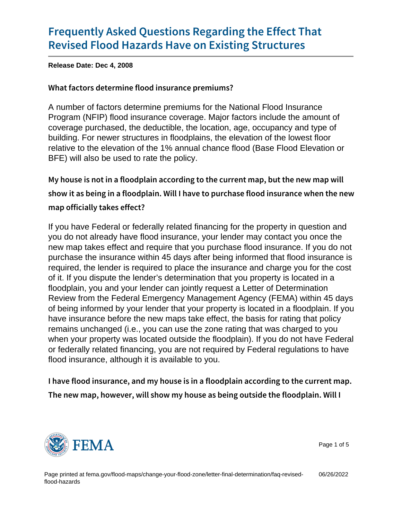Release Date: Dec 4, 2008

What factors determine flood insurance premiums?

A number of factors determine premiums for the National Flood Insurance Program (NFIP) flood insurance coverage. Major factors include the amount of coverage purchased, the deductible, the location, age, occupancy and type of building. For newer structures in floodplains, the elevation of the lowest floor relative to the elevation of the 1% annual chance flood (Base Flood Elevation or BFE) will also be used to rate the policy.

```
My house is not in a floodplain according to the current ma
show it as being in a floodplain. Will I have to purchase fl
map officially takes effect?
```
If you have Federal or federally related financing for the property in question and you do not already have flood insurance, your lender may contact you once the new map takes effect and require that you purchase flood insurance. If you do not purchase the insurance within 45 days after being informed that flood insurance is required, the lender is required to place the insurance and charge you for the cost of it. If you dispute the lender's determination that you property is located in a floodplain, you and your lender can jointly request a Letter of Determination Review from the Federal Emergency Management Agency (FEMA) within 45 days of being informed by your lender that your property is located in a floodplain. If you have insurance before the new maps take effect, the basis for rating that policy remains unchanged (i.e., you can use the zone rating that was charged to you when your property was located outside the floodplain). If you do not have Federal or federally related financing, you are not required by Federal regulations to have flood insurance, although it is available to you.

I have flood insurance, and my house is in a floodplain acording The new map, however, will show my house as being outsid



Page 1 of 5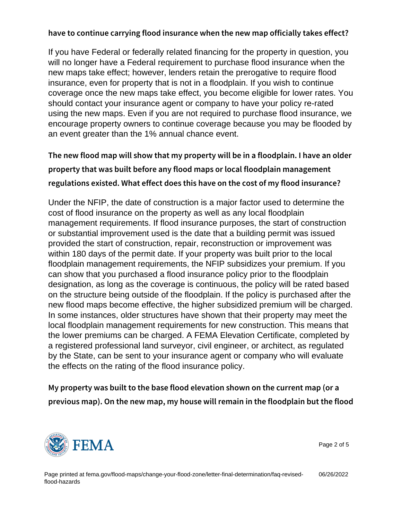If you have Federal or federally related financing for the property in question, you will no longer have a Federal requirement to purchase flood insurance when the new maps take effect; however, lenders retain the prerogative to require flood insurance, even for property that is not in a floodplain. If you wish to continue coverage once the new maps take effect, you become eligible for lower rates. You should contact your insurance agent or company to have your policy re-rated using the new maps. Even if you are not required to purchase flood insurance, we encourage property owners to continue coverage because you may be flooded by an event greater than the 1% annual chance event.

The new flood map will show that my property will be in a property that was built before any flood maps or local floo regulations existed. What effect does this have on the cost

Under the NFIP, the date of construction is a major factor used to determine the cost of flood insurance on the property as well as any local floodplain management requirements. If flood insurance purposes, the start of construction or substantial improvement used is the date that a building permit was issued provided the start of construction, repair, reconstruction or improvement was within 180 days of the permit date. If your property was built prior to the local floodplain management requirements, the NFIP subsidizes your premium. If you can show that you purchased a flood insurance policy prior to the floodplain designation, as long as the coverage is continuous, the policy will be rated based on the structure being outside of the floodplain. If the policy is purchased after the new flood maps become effective, the higher subsidized premium will be charged. In some instances, older structures have shown that their property may meet the local floodplain management requirements for new construction. This means that the lower premiums can be charged. A FEMA Elevation Certificate, completed by a registered professional land surveyor, civil engineer, or architect, as regulated by the State, can be sent to your insurance agent or company who will evaluate the effects on the rating of the flood insurance policy.

My property was built to the base flood elevation shown on previous map). On the new map, my house will remain in th



Page 2 of 5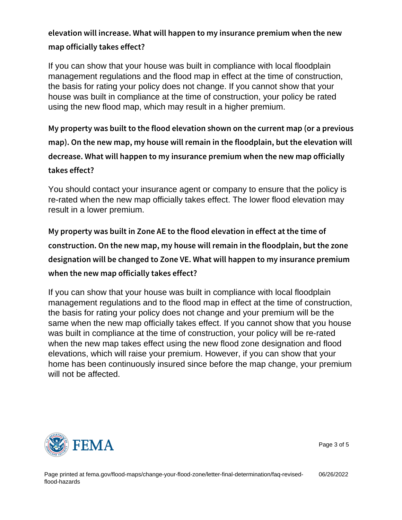elevation will increase. What will happen to my insurance map officially takes effect?

If you can show that your house was built in compliance with local floodplain management regulations and the flood map in effect at the time of construction, the basis for rating your policy does not change. If you cannot show that your house was built in compliance at the time of construction, your policy be rated using the new flood map, which may result in a higher premium.

My property was built to the flood elevation shown on the dual map). On the new map, my house will remain in the floodpl decrease. What will happen to my insurance premium when takes effect?

You should contact your insurance agent or company to ensure that the policy is re-rated when the new map officially takes effect. The lower flood elevation may result in a lower premium.

My property was built in Zone AE to the flood elevation in construction. On the new map, my house will remain in the designation will be changed to Zone VE. What will happen when the new map officially takes effect?

If you can show that your house was built in compliance with local floodplain management regulations and to the flood map in effect at the time of construction, the basis for rating your policy does not change and your premium will be the same when the new map officially takes effect. If you cannot show that you house was built in compliance at the time of construction, your policy will be re-rated when the new map takes effect using the new flood zone designation and flood elevations, which will raise your premium. However, if you can show that your home has been continuously insured since before the map change, your premium will not be affected.



Page 3 of 5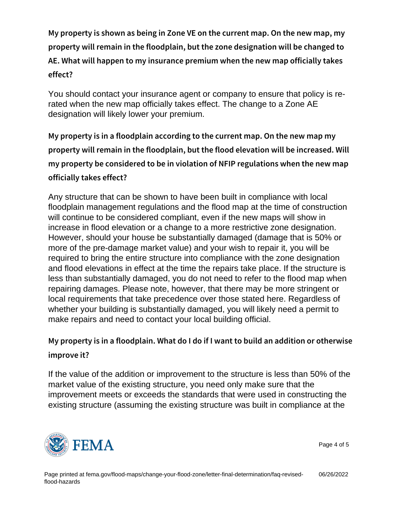My property is shown as being in Zone VE on the current m property will remain in the floodplain, but the zone designa AE. What will happen to my insurance premium when the ne effect?

You should contact your insurance agent or company to ensure that policy is rerated when the new map officially takes effect. The change to a Zone AE designation will likely lower your premium.

My property is in a floodplain according to the current map. property will remain in the floodplain, but the flood elevation my property be considered to be in violation of NFIP regulations officially takes effect?

Any structure that can be shown to have been built in compliance with local floodplain management regulations and the flood map at the time of construction will continue to be considered compliant, even if the new maps will show in increase in flood elevation or a change to a more restrictive zone designation. However, should your house be substantially damaged (damage that is 50% or more of the pre-damage market value) and your wish to repair it, you will be required to bring the entire structure into compliance with the zone designation and flood elevations in effect at the time the repairs take place. If the structure is less than substantially damaged, you do not need to refer to the flood map when repairing damages. Please note, however, that there may be more stringent or local requirements that take precedence over those stated here. Regardless of whether your building is substantially damaged, you will likely need a permit to make repairs and need to contact your local building official.

```
My property is in a floodplain. What do I do if I want to bu
improve it?
```
If the value of the addition or improvement to the structure is less than 50% of the market value of the existing structure, you need only make sure that the improvement meets or exceeds the standards that were used in constructing the existing structure (assuming the existing structure was built in compliance at the



Page 4 of 5